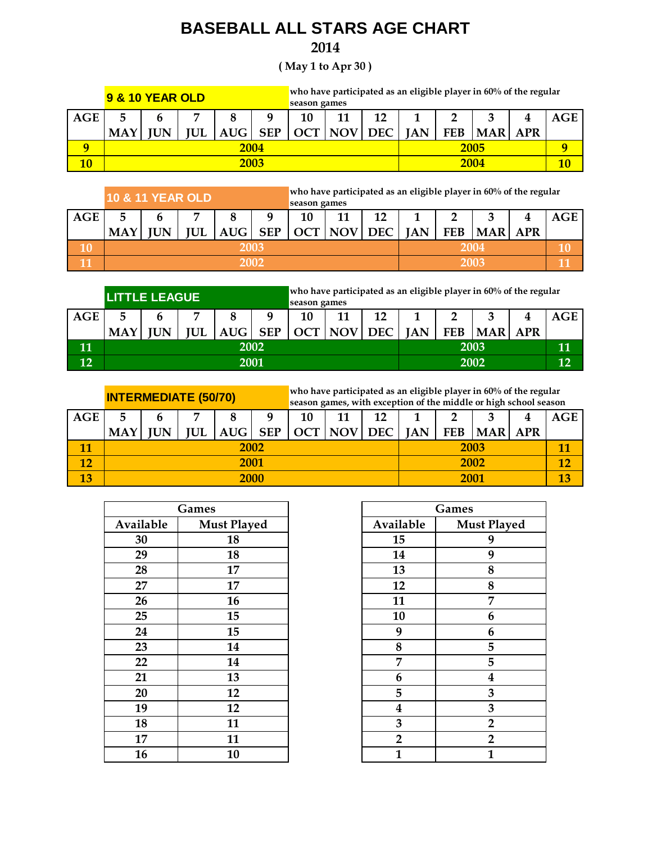## **BASEBALL ALL STARS AGE CHART**

## **2014**

**( May 1 to Apr 30 )**

|             | <b>9 &amp; 10 YEAR OLD</b> |             |           |              |            |            | who have participated as an eligible player in $60\%$ of the regular<br>season games |      |            |            |            |            |  |
|-------------|----------------------------|-------------|-----------|--------------|------------|------------|--------------------------------------------------------------------------------------|------|------------|------------|------------|------------|--|
| AGE         |                            | ∍           |           |              |            |            | 10<br>12<br>11                                                                       |      |            |            |            | AGE        |  |
|             | <b>MAY</b>                 | <b>IIIN</b> | <b>UL</b> | $A\text{UG}$ | <b>SEP</b> | <b>OCT</b> | NOV DEC                                                                              |      | <b>JAN</b> | <b>FEB</b> | <b>MAR</b> | <b>APR</b> |  |
| $\mathbf o$ | 2004                       |             |           |              |            |            |                                                                                      |      | 2005       |            |            |            |  |
|             | 2003                       |             |           |              |            |            |                                                                                      | 2004 |            |            | 10         |            |  |

|     |            | <b>10 &amp; 11 YEAR OLD</b> |            |            |            | who have participated as an eligible player in $60\%$ of the regular |         |      |            |            |            |            |     |
|-----|------------|-----------------------------|------------|------------|------------|----------------------------------------------------------------------|---------|------|------------|------------|------------|------------|-----|
|     |            |                             |            |            |            | season games                                                         |         |      |            |            |            |            |     |
| AGE |            | 7                           |            |            |            |                                                                      |         | 12   |            |            |            |            | AGE |
|     | <b>MAY</b> | JN                          | <b>IUL</b> | <b>AUG</b> | <b>SEP</b> | OCT                                                                  | NOV DEC |      | <b>JAN</b> | <b>FEB</b> | <b>MAR</b> | <b>APR</b> |     |
| 10  | 2003       |                             |            |            |            |                                                                      |         | 2004 |            |            |            |            |     |
|     | 2002       |                             |            |            |            |                                                                      |         | 2003 |            |            |            |            |     |

|     | <b>LITTLE LEAGUE</b> |       |     |            |            |                                                                                                | who have participated as an eligible player in $60\%$ of the regular<br>season games |      |      |  |  |    |     |
|-----|----------------------|-------|-----|------------|------------|------------------------------------------------------------------------------------------------|--------------------------------------------------------------------------------------|------|------|--|--|----|-----|
| AGE |                      |       | .,  |            | q          | 10                                                                                             | 11                                                                                   | 12   |      |  |  |    | AGE |
|     | <b>MAY</b>           | II IN | TUL | <b>AUG</b> | <b>SEP</b> | <b>NOV</b><br><b>OCT</b><br><b>FEB</b><br><b>MAR</b><br><b>DEC</b><br><b>JAN</b><br><b>APR</b> |                                                                                      |      |      |  |  |    |     |
| 11  | 2002                 |       |     |            |            |                                                                                                |                                                                                      |      | 2003 |  |  |    | 11  |
| 12  | 2001                 |       |     |            |            |                                                                                                |                                                                                      | 2002 |      |  |  | 12 |     |

|            | <b>INTERMEDIATE (50/70)</b> |    |    |            |            | who have participated as an eligible player in $60\%$ of the regular<br>season games, with exception of the middle or high school season |            |            |            |            |                  |    |     |
|------------|-----------------------------|----|----|------------|------------|------------------------------------------------------------------------------------------------------------------------------------------|------------|------------|------------|------------|------------------|----|-----|
| AGE        | .,<br>11<br>10              |    |    |            |            |                                                                                                                                          |            | 12         |            |            |                  |    | AGE |
|            | <b>MAY</b>                  | IN | UL | <b>AUG</b> | <b>SEP</b> | <b>OCT</b>                                                                                                                               | <b>NOV</b> | <b>DEC</b> | <b>JAN</b> | <b>FEB</b> | <b>MAR   APR</b> |    |     |
| 11         | 2002                        |    |    |            |            |                                                                                                                                          |            |            | 2003       |            |                  |    |     |
| <u> 12</u> | <b>2001</b>                 |    |    |            |            |                                                                                                                                          |            |            | 2002       |            |                  |    | 12  |
| 13         | 2000                        |    |    |            |            |                                                                                                                                          |            |            | 2001       |            |                  | 13 |     |

|           | Games              |                         | Games                   |
|-----------|--------------------|-------------------------|-------------------------|
| Available | <b>Must Played</b> | Available               | <b>Must Played</b>      |
| 30        | 18                 | 15                      | 9                       |
| 29        | 18                 | 14                      | 9                       |
| 28        | 17                 | 13                      | 8                       |
| 27        | 17                 | 12                      | 8                       |
| 26        | 16                 | 11                      | 7                       |
| 25        | 15                 | 10                      | 6                       |
| 24        | 15                 | 9                       | 6                       |
| 23        | 14                 | 8                       | 5                       |
| 22        | 14                 | 7                       | 5                       |
| 21        | 13                 | 6                       | $\overline{\mathbf{4}}$ |
| 20        | 12                 | 5                       | 3                       |
| 19        | 12                 | $\overline{\mathbf{4}}$ | 3                       |
| 18        | 11                 | 3                       | $\overline{2}$          |
| 17        | 11                 | $\overline{2}$          | $\overline{2}$          |
| 16        | 10                 | 1                       | $\mathbf{1}$            |

| Games              |                  | Games              |
|--------------------|------------------|--------------------|
| <b>Must Played</b> | Available        | <b>Must Played</b> |
| 18                 | 15               | 9                  |
| 18                 | 14               | 9                  |
| 17                 | 13               | 8                  |
| 17                 | 12               | 8                  |
| 16                 | 11               | 7                  |
| 15                 | 10               | 6                  |
| 15                 | 9                | 6                  |
| 14                 | 8                | 5                  |
| 14                 | 7                | 5                  |
| 13                 | 6                | 4                  |
| 12                 | 5                | 3                  |
| 12                 | $\boldsymbol{4}$ | 3                  |
| 11                 | 3                | $\overline{2}$     |
| 11                 | $\overline{2}$   | $\overline{2}$     |
| 10                 | $\mathbf{1}$     | 1                  |